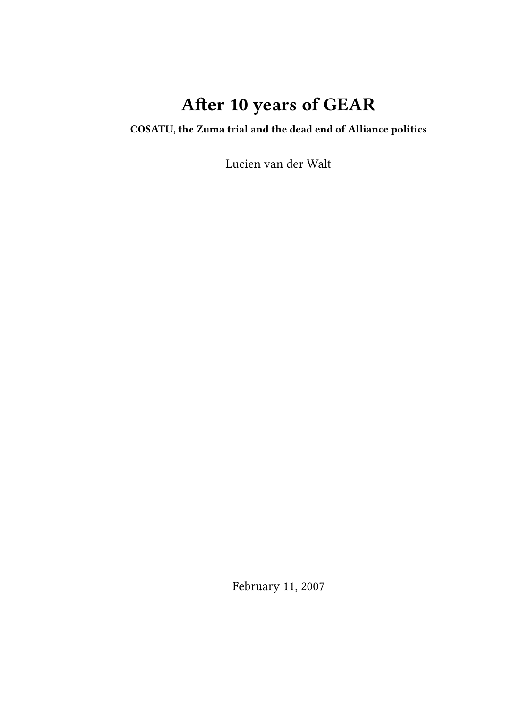# **After 10 years of GEAR**

**COSATU, the Zuma trial and the dead end of Alliance politics**

Lucien van der Walt

February 11, 2007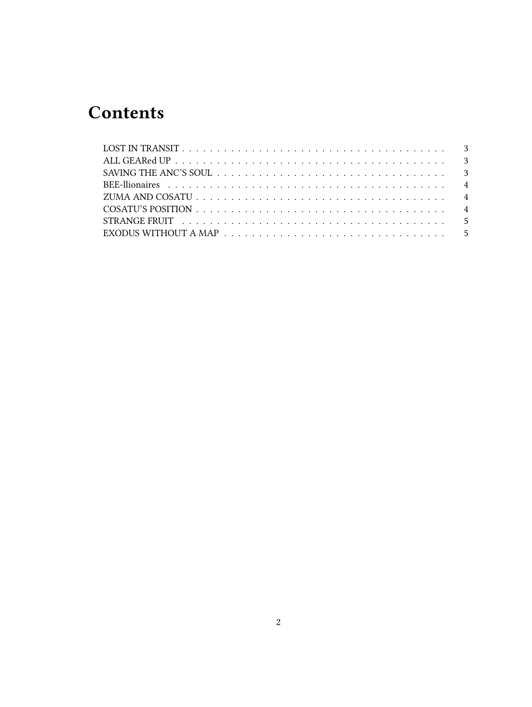# **Contents**

| EXODUS WITHOUT A MAP $\ldots \ldots \ldots \ldots \ldots \ldots \ldots \ldots \ldots \ldots \ldots \ldots 5$ |  |
|--------------------------------------------------------------------------------------------------------------|--|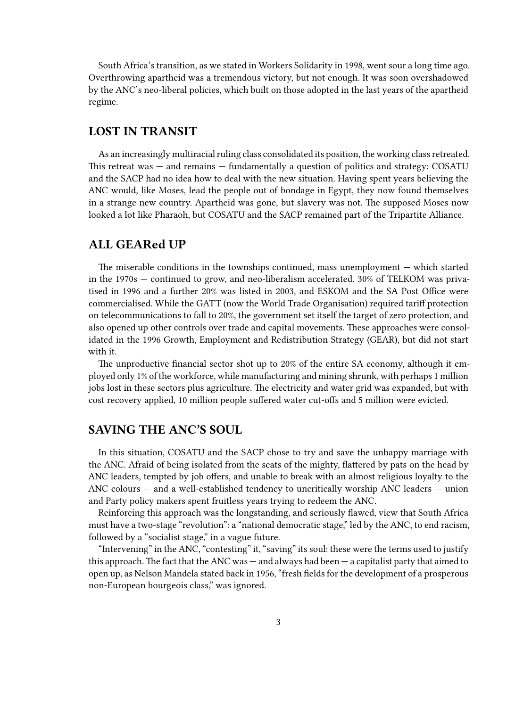South Africa's transition, as we stated in Workers Solidarity in 1998, went sour a long time ago. Overthrowing apartheid was a tremendous victory, but not enough. It was soon overshadowed by the ANC's neo-liberal policies, which built on those adopted in the last years of the apartheid regime.

# <span id="page-2-0"></span>**LOST IN TRANSIT**

As an increasingly multiracial ruling class consolidated its position, the working class retreated. This retreat was — and remains — fundamentally a question of politics and strategy: COSATU and the SACP had no idea how to deal with the new situation. Having spent years believing the ANC would, like Moses, lead the people out of bondage in Egypt, they now found themselves in a strange new country. Apartheid was gone, but slavery was not. The supposed Moses now looked a lot like Pharaoh, but COSATU and the SACP remained part of the Tripartite Alliance.

#### <span id="page-2-1"></span>**ALL GEARed UP**

The miserable conditions in the townships continued, mass unemployment — which started in the 1970s — continued to grow, and neo-liberalism accelerated. 30% of TELKOM was privatised in 1996 and a further 20% was listed in 2003, and ESKOM and the SA Post Office were commercialised. While the GATT (now the World Trade Organisation) required tariff protection on telecommunications to fall to 20%, the government set itself the target of zero protection, and also opened up other controls over trade and capital movements. These approaches were consolidated in the 1996 Growth, Employment and Redistribution Strategy (GEAR), but did not start with it.

The unproductive financial sector shot up to 20% of the entire SA economy, although it employed only 1% of the workforce, while manufacturing and mining shrunk, with perhaps 1 million jobs lost in these sectors plus agriculture. The electricity and water grid was expanded, but with cost recovery applied, 10 million people suffered water cut-offs and 5 million were evicted.

#### <span id="page-2-2"></span>**SAVING THE ANC'S SOUL**

In this situation, COSATU and the SACP chose to try and save the unhappy marriage with the ANC. Afraid of being isolated from the seats of the mighty, flattered by pats on the head by ANC leaders, tempted by job offers, and unable to break with an almost religious loyalty to the ANC colours — and a well-established tendency to uncritically worship ANC leaders — union and Party policy makers spent fruitless years trying to redeem the ANC.

Reinforcing this approach was the longstanding, and seriously flawed, view that South Africa must have a two-stage "revolution": a "national democratic stage," led by the ANC, to end racism, followed by a "socialist stage," in a vague future.

"Intervening" in the ANC, "contesting" it, "saving" its soul: these were the terms used to justify this approach. The fact that the ANC was — and always had been — a capitalist party that aimed to open up, as Nelson Mandela stated back in 1956, "fresh fields for the development of a prosperous non-European bourgeois class," was ignored.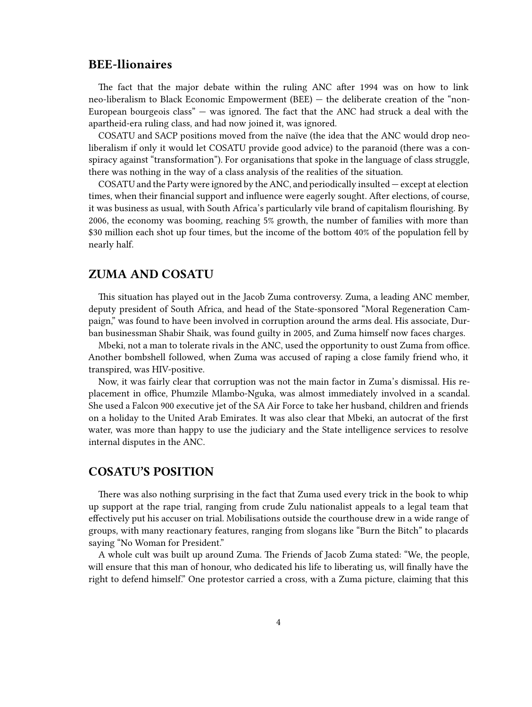#### <span id="page-3-0"></span>**BEE-llionaires**

The fact that the major debate within the ruling ANC after 1994 was on how to link neo-liberalism to Black Economic Empowerment (BEE) — the deliberate creation of the "non-European bourgeois class" — was ignored. The fact that the ANC had struck a deal with the apartheid-era ruling class, and had now joined it, was ignored.

COSATU and SACP positions moved from the naïve (the idea that the ANC would drop neoliberalism if only it would let COSATU provide good advice) to the paranoid (there was a conspiracy against "transformation"). For organisations that spoke in the language of class struggle, there was nothing in the way of a class analysis of the realities of the situation.

COSATU and the Party were ignored by the ANC, and periodically insulted — except at election times, when their financial support and influence were eagerly sought. After elections, of course, it was business as usual, with South Africa's particularly vile brand of capitalism flourishing. By 2006, the economy was booming, reaching 5% growth, the number of families with more than \$30 million each shot up four times, but the income of the bottom 40% of the population fell by nearly half.

#### <span id="page-3-1"></span>**ZUMA AND COSATU**

This situation has played out in the Jacob Zuma controversy. Zuma, a leading ANC member, deputy president of South Africa, and head of the State-sponsored "Moral Regeneration Campaign," was found to have been involved in corruption around the arms deal. His associate, Durban businessman Shabir Shaik, was found guilty in 2005, and Zuma himself now faces charges.

Mbeki, not a man to tolerate rivals in the ANC, used the opportunity to oust Zuma from office. Another bombshell followed, when Zuma was accused of raping a close family friend who, it transpired, was HIV-positive.

Now, it was fairly clear that corruption was not the main factor in Zuma's dismissal. His replacement in office, Phumzile Mlambo-Nguka, was almost immediately involved in a scandal. She used a Falcon 900 executive jet of the SA Air Force to take her husband, children and friends on a holiday to the United Arab Emirates. It was also clear that Mbeki, an autocrat of the first water, was more than happy to use the judiciary and the State intelligence services to resolve internal disputes in the ANC.

#### <span id="page-3-2"></span>**COSATU'S POSITION**

There was also nothing surprising in the fact that Zuma used every trick in the book to whip up support at the rape trial, ranging from crude Zulu nationalist appeals to a legal team that effectively put his accuser on trial. Mobilisations outside the courthouse drew in a wide range of groups, with many reactionary features, ranging from slogans like "Burn the Bitch" to placards saying "No Woman for President."

A whole cult was built up around Zuma. The Friends of Jacob Zuma stated: "We, the people, will ensure that this man of honour, who dedicated his life to liberating us, will finally have the right to defend himself." One protestor carried a cross, with a Zuma picture, claiming that this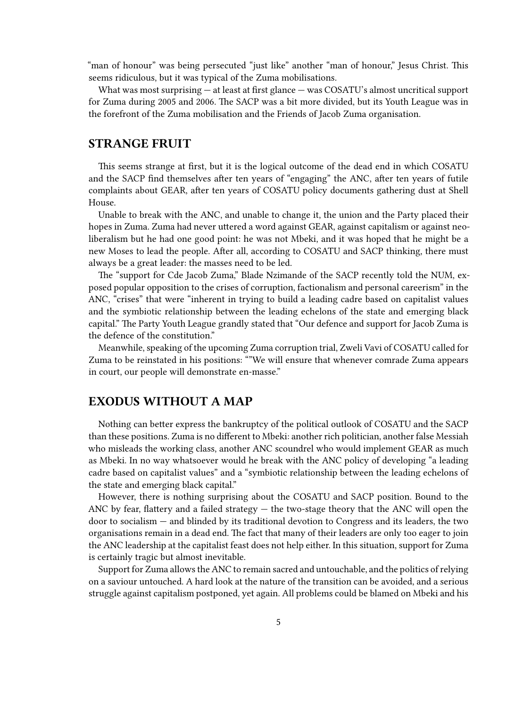"man of honour" was being persecuted "just like" another "man of honour," Jesus Christ. This seems ridiculous, but it was typical of the Zuma mobilisations.

What was most surprising — at least at first glance — was COSATU's almost uncritical support for Zuma during 2005 and 2006. The SACP was a bit more divided, but its Youth League was in the forefront of the Zuma mobilisation and the Friends of Jacob Zuma organisation.

# <span id="page-4-0"></span>**STRANGE FRUIT**

This seems strange at first, but it is the logical outcome of the dead end in which COSATU and the SACP find themselves after ten years of "engaging" the ANC, after ten years of futile complaints about GEAR, after ten years of COSATU policy documents gathering dust at Shell House.

Unable to break with the ANC, and unable to change it, the union and the Party placed their hopes in Zuma. Zuma had never uttered a word against GEAR, against capitalism or against neoliberalism but he had one good point: he was not Mbeki, and it was hoped that he might be a new Moses to lead the people. After all, according to COSATU and SACP thinking, there must always be a great leader: the masses need to be led.

The "support for Cde Jacob Zuma," Blade Nzimande of the SACP recently told the NUM, exposed popular opposition to the crises of corruption, factionalism and personal careerism" in the ANC, "crises" that were "inherent in trying to build a leading cadre based on capitalist values and the symbiotic relationship between the leading echelons of the state and emerging black capital." The Party Youth League grandly stated that "Our defence and support for Jacob Zuma is the defence of the constitution."

Meanwhile, speaking of the upcoming Zuma corruption trial, Zweli Vavi of COSATU called for Zuma to be reinstated in his positions: ""We will ensure that whenever comrade Zuma appears in court, our people will demonstrate en-masse."

# <span id="page-4-1"></span>**EXODUS WITHOUT A MAP**

Nothing can better express the bankruptcy of the political outlook of COSATU and the SACP than these positions. Zuma is no different to Mbeki: another rich politician, another false Messiah who misleads the working class, another ANC scoundrel who would implement GEAR as much as Mbeki. In no way whatsoever would he break with the ANC policy of developing "a leading cadre based on capitalist values" and a "symbiotic relationship between the leading echelons of the state and emerging black capital."

However, there is nothing surprising about the COSATU and SACP position. Bound to the ANC by fear, flattery and a failed strategy — the two-stage theory that the ANC will open the door to socialism — and blinded by its traditional devotion to Congress and its leaders, the two organisations remain in a dead end. The fact that many of their leaders are only too eager to join the ANC leadership at the capitalist feast does not help either. In this situation, support for Zuma is certainly tragic but almost inevitable.

Support for Zuma allows the ANC to remain sacred and untouchable, and the politics of relying on a saviour untouched. A hard look at the nature of the transition can be avoided, and a serious struggle against capitalism postponed, yet again. All problems could be blamed on Mbeki and his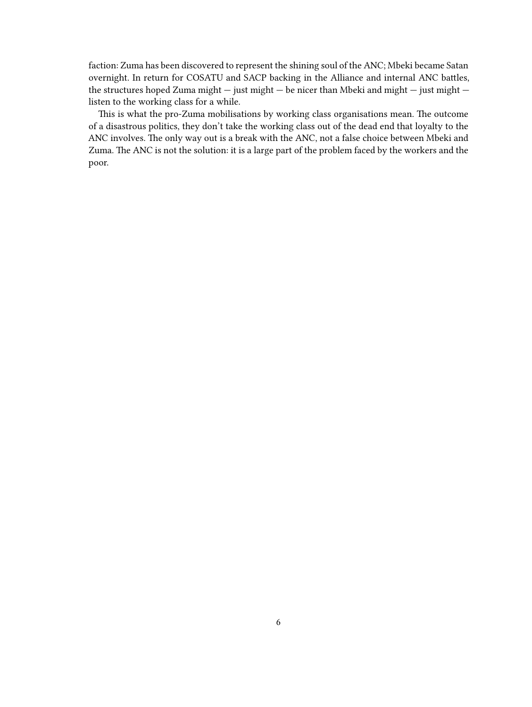faction: Zuma has been discovered to represent the shining soul of the ANC; Mbeki became Satan overnight. In return for COSATU and SACP backing in the Alliance and internal ANC battles, the structures hoped Zuma might — just might — be nicer than Mbeki and might — just might listen to the working class for a while.

This is what the pro-Zuma mobilisations by working class organisations mean. The outcome of a disastrous politics, they don't take the working class out of the dead end that loyalty to the ANC involves. The only way out is a break with the ANC, not a false choice between Mbeki and Zuma. The ANC is not the solution: it is a large part of the problem faced by the workers and the poor.